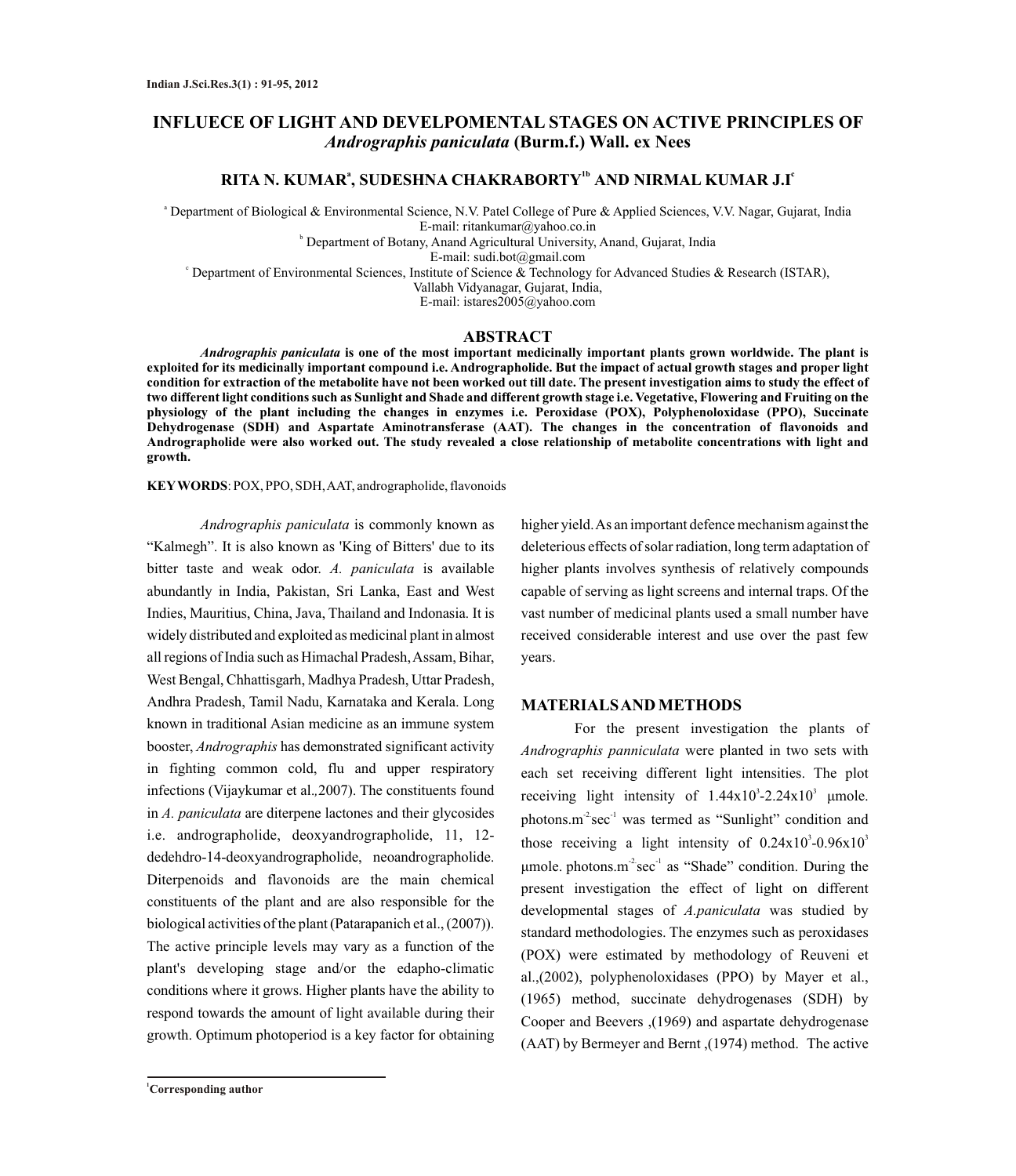# **INFLUECE OF LIGHT AND DEVELPOMENTAL STAGES ON ACTIVE PRINCIPLES OF** *Andrographis paniculata* **(Burm.f.) Wall. ex Nees**

## **<sup>a</sup> 1b c RITA N. KUMAR , SUDESHNA CHAKRABORTY AND NIRMAL KUMAR J.I**

<sup>a</sup> Department of Biological & Environmental Science, N.V. Patel College of Pure & Applied Sciences, V.V. Nagar, Gujarat, India E-mail: ritankumar@yahoo.co.in

b Department of Botany, Anand Agricultural University, Anand, Gujarat, India

E-mail: sudi.bot@gmail.com

<sup>c</sup> Department of Environmental Sciences, Institute of Science & Technology for Advanced Studies & Research (ISTAR),

Vallabh Vidyanagar, Gujarat, India,

E-mail: istares2005@yahoo.com

### **ABSTRACT**

*Andrographis paniculata* **is one of the most important medicinally important plants grown worldwide. The plant is exploited for its medicinally important compound i.e. Andrographolide. But the impact of actual growth stages and proper light condition for extraction of the metabolite have not been worked out till date. The present investigation aims to study the effect of two different light conditions such as Sunlight and Shade and different growth stage i.e. Vegetative, Flowering and Fruiting on the physiology of the plant including the changes in enzymes i.e. Peroxidase (POX), Polyphenoloxidase (PPO), Succinate Dehydrogenase (SDH) and Aspartate Aminotransferase (AAT). The changes in the concentration of flavonoids and Andrographolide were also worked out. The study revealed a close relationship of metabolite concentrations with light and growth.** 

**KEYWORDS**: POX, PPO, SDH, AAT, andrographolide, flavonoids

*Andrographis paniculata* is commonly known as "Kalmegh". It is also known as 'King of Bitters' due to its bitter taste and weak odor. *A. paniculata* is available abundantly in India, Pakistan, Sri Lanka, East and West Indies, Mauritius, China, Java, Thailand and Indonasia. It is widely distributed and exploited as medicinal plant in almost all regions of India such as Himachal Pradesh, Assam, Bihar, West Bengal, Chhattisgarh, Madhya Pradesh, Uttar Pradesh, Andhra Pradesh, Tamil Nadu, Karnataka and Kerala. Long known in traditional Asian medicine as an immune system booster, *Andrographis* has demonstrated significant activity in fighting common cold, flu and upper respiratory infections (Vijaykumar et al.*,*2007). The constituents found in *A. paniculata* are diterpene lactones and their glycosides i.e. andrographolide, deoxyandrographolide, 11, 12 dedehdro-14-deoxyandrographolide, neoandrographolide. Diterpenoids and flavonoids are the main chemical constituents of the plant and are also responsible for the biological activities of the plant (Patarapanich et al., (2007)). The active principle levels may vary as a function of the plant's developing stage and/or the edapho-climatic conditions where it grows. Higher plants have the ability to respond towards the amount of light available during their growth. Optimum photoperiod is a key factor for obtaining

higher yield. As an important defence mechanism against the deleterious effects of solar radiation, long term adaptation of higher plants involves synthesis of relatively compounds capable of serving as light screens and internal traps. Of the vast number of medicinal plants used a small number have received considerable interest and use over the past few years.

#### **MATERIALS AND METHODS**

For the present investigation the plants of *Andrographis panniculata* were planted in two sets with each set receiving different light intensities. The plot receiving light intensity of  $1.44x10^3 - 2.24x10^3$  µmole.  $photons.m<sup>2</sup>sec<sup>-1</sup>$  was termed as "Sunlight" condition and those receiving a light intensity of  $0.24 \times 10^{3}$ -0.96 $\times 10^{3}$  $\mu$ mole. photons.m<sup>-2</sup>sec<sup>-1</sup> as "Shade" condition. During the present investigation the effect of light on different developmental stages of *A.paniculata* was studied by standard methodologies. The enzymes such as peroxidases (POX) were estimated by methodology of Reuveni et al.,(2002), polyphenoloxidases (PPO) by Mayer et al., (1965) method, succinate dehydrogenases (SDH) by Cooper and Beevers ,(1969) and aspartate dehydrogenase (AAT) by Bermeyer and Bernt ,(1974) method. The active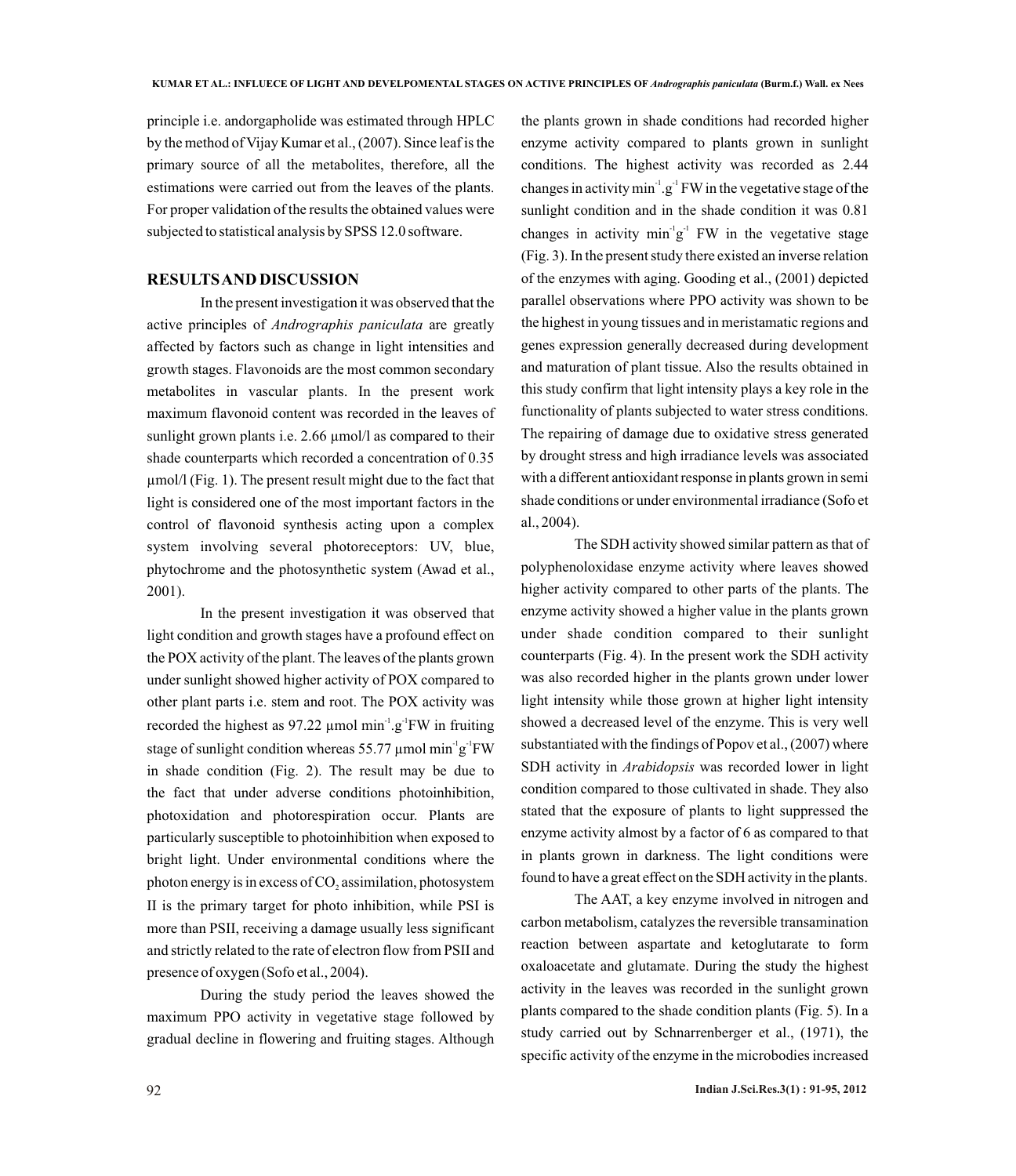principle i.e. andorgapholide was estimated through HPLC by the method of Vijay Kumar et al., (2007). Since leaf is the primary source of all the metabolites, therefore, all the estimations were carried out from the leaves of the plants. For proper validation of the results the obtained values were subjected to statistical analysis by SPSS 12.0 software.

### **RESULTS AND DISCUSSION**

In the present investigation it was observed that the active principles of *Andrographis paniculata* are greatly affected by factors such as change in light intensities and growth stages. Flavonoids are the most common secondary metabolites in vascular plants. In the present work maximum flavonoid content was recorded in the leaves of sunlight grown plants i.e. 2.66  $\mu$ mol/l as compared to their shade counterparts which recorded a concentration of 0.35 µmol/l (Fig. 1). The present result might due to the fact that light is considered one of the most important factors in the control of flavonoid synthesis acting upon a complex system involving several photoreceptors: UV, blue, phytochrome and the photosynthetic system (Awad et al., 2001).

In the present investigation it was observed that light condition and growth stages have a profound effect on the POX activity of the plant. The leaves of the plants grown under sunlight showed higher activity of POX compared to other plant parts i.e. stem and root. The POX activity was recorded the highest as 97.22  $\mu$ mol min<sup>-1</sup>.g<sup>-1</sup>FW in fruiting stage of sunlight condition whereas 55.77  $\mu$ mol min<sup>-1</sup>g<sup>-1</sup>FW in shade condition (Fig. 2). The result may be due to the fact that under adverse conditions photoinhibition, photoxidation and photorespiration occur. Plants are particularly susceptible to photoinhibition when exposed to bright light. Under environmental conditions where the photon energy is in excess of  $CO$ , assimilation, photosystem II is the primary target for photo inhibition, while PSI is more than PSII, receiving a damage usually less significant and strictly related to the rate of electron flow from PSII and presence of oxygen (Sofo et al., 2004).

During the study period the leaves showed the maximum PPO activity in vegetative stage followed by gradual decline in flowering and fruiting stages. Although

the plants grown in shade conditions had recorded higher enzyme activity compared to plants grown in sunlight conditions. The highest activity was recorded as 2.44 changes in activity  $min^{-1}$ .g<sup>-1</sup> FW in the vegetative stage of the sunlight condition and in the shade condition it was 0.81 changes in activity  $\min^{\lceil} g^{\lceil}$  FW in the vegetative stage (Fig. 3). In the present study there existed an inverse relation of the enzymes with aging. Gooding et al., (2001) depicted parallel observations where PPO activity was shown to be the highest in young tissues and in meristamatic regions and genes expression generally decreased during development and maturation of plant tissue. Also the results obtained in this study confirm that light intensity plays a key role in the functionality of plants subjected to water stress conditions. The repairing of damage due to oxidative stress generated by drought stress and high irradiance levels was associated with a different antioxidant response in plants grown in semi shade conditions or under environmental irradiance (Sofo et al., 2004).

The SDH activity showed similar pattern as that of polyphenoloxidase enzyme activity where leaves showed higher activity compared to other parts of the plants. The enzyme activity showed a higher value in the plants grown under shade condition compared to their sunlight counterparts (Fig. 4). In the present work the SDH activity was also recorded higher in the plants grown under lower light intensity while those grown at higher light intensity showed a decreased level of the enzyme. This is very well substantiated with the findings of Popov et al., (2007) where SDH activity in *Arabidopsis* was recorded lower in light condition compared to those cultivated in shade. They also stated that the exposure of plants to light suppressed the enzyme activity almost by a factor of 6 as compared to that in plants grown in darkness. The light conditions were found to have a great effect on the SDH activity in the plants.

The AAT, a key enzyme involved in nitrogen and carbon metabolism, catalyzes the reversible transamination reaction between aspartate and ketoglutarate to form oxaloacetate and glutamate. During the study the highest activity in the leaves was recorded in the sunlight grown plants compared to the shade condition plants (Fig. 5). In a study carried out by Schnarrenberger et al., (1971), the specific activity of the enzyme in the microbodies increased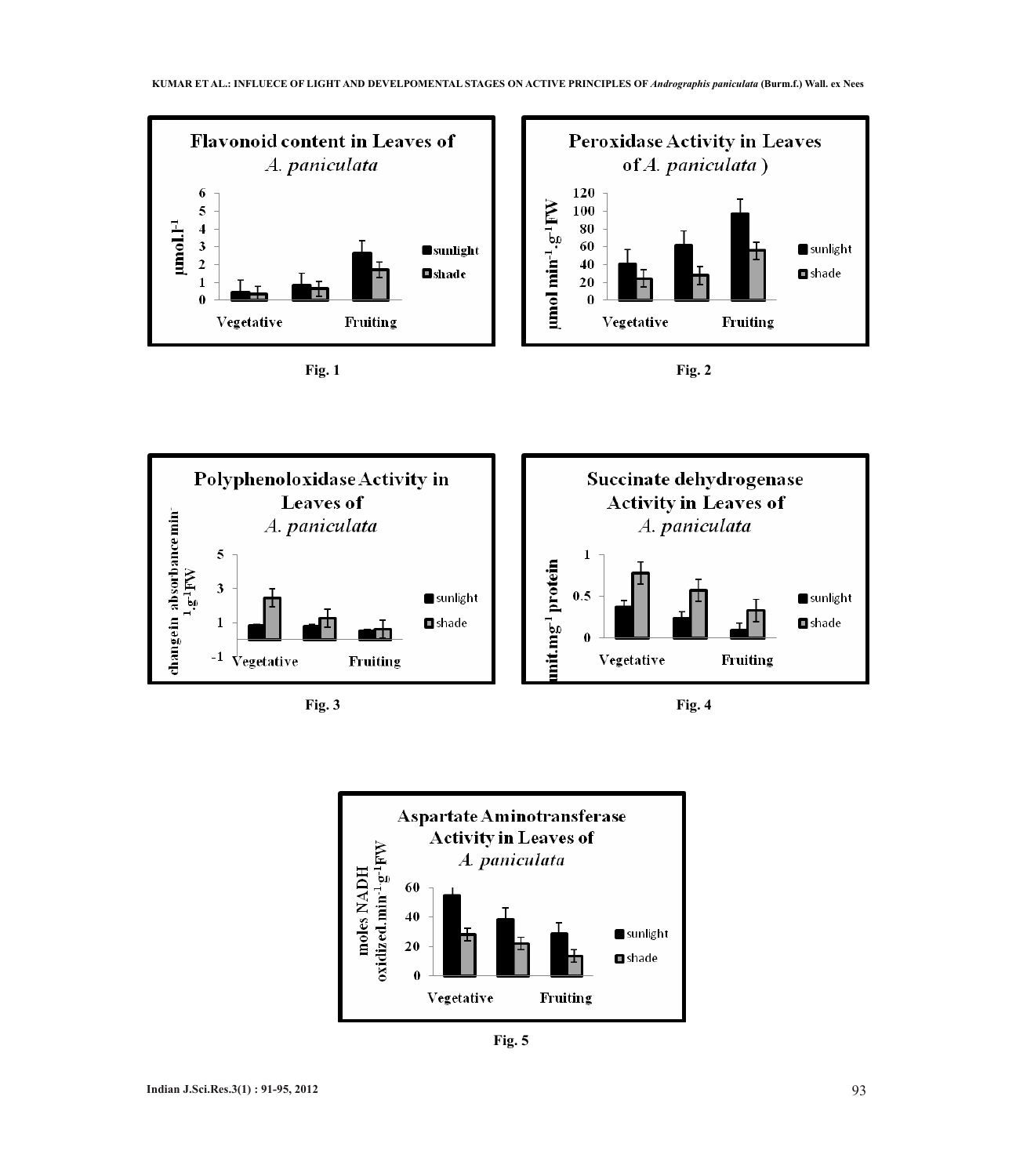











**Fig. 5**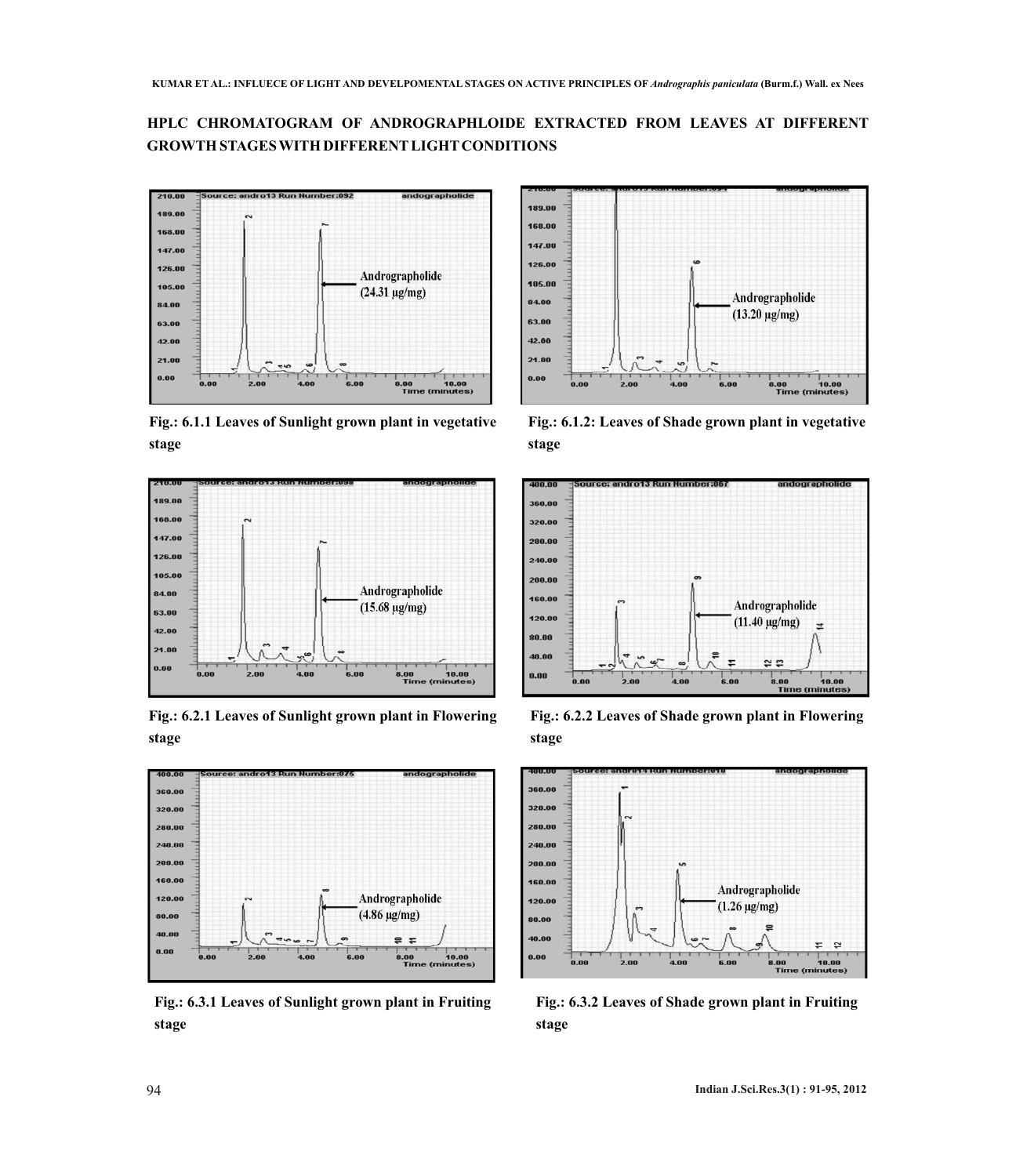## **HPLC CHROMATOGRAM OF ANDROGRAPHLOIDE EXTRACTED FROM LEAVES AT DIFFERENT GROWTH STAGES WITH DIFFERENTLIGHTCONDITIONS**



**Fig.: 6.1.1 Leaves of Sunlight grown plant in vegetative stage**



**Fig.: 6.2.1 Leaves of Sunlight grown plant in Flowering stage**



**Fig.: 6.3.1 Leaves of Sunlight grown plant in Fruiting stage**



**Fig.: 6.1.2: Leaves of Shade grown plant in vegetative stage**



**Fig.: 6.2.2 Leaves of Shade grown plant in Flowering stage**



**Fig.: 6.3.2 Leaves of Shade grown plant in Fruiting stage**